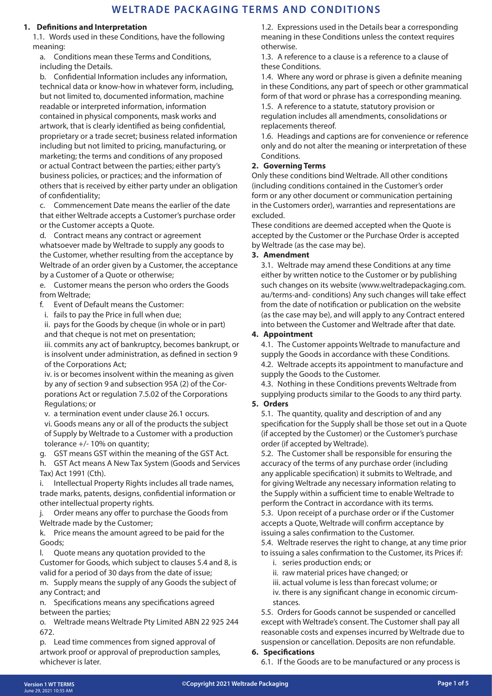#### **1. Definitions and Interpretation**

1.1. Words used in these Conditions, have the following meaning:

a. Conditions mean these Terms and Conditions, including the Details.

b. Confidential Information includes any information, technical data or know-how in whatever form, including, but not limited to, documented information, machine readable or interpreted information, information contained in physical components, mask works and artwork, that is clearly identified as being confidential, proprietary or a trade secret; business related information including but not limited to pricing, manufacturing, or marketing; the terms and conditions of any proposed or actual Contract between the parties; either party's business policies, or practices; and the information of others that is received by either party under an obligation of confidentiality;

c. Commencement Date means the earlier of the date that either Weltrade accepts a Customer's purchase order or the Customer accepts a Quote.

d. Contract means any contract or agreement whatsoever made by Weltrade to supply any goods to the Customer, whether resulting from the acceptance by Weltrade of an order given by a Customer, the acceptance by a Customer of a Quote or otherwise;

e. Customer means the person who orders the Goods from Weltrade;

f. Event of Default means the Customer:

i. fails to pay the Price in full when due;

ii. pays for the Goods by cheque (in whole or in part) and that cheque is not met on presentation;

iii. commits any act of bankruptcy, becomes bankrupt, or is insolvent under administration, as defined in section 9 of the Corporations Act;

iv. is or becomes insolvent within the meaning as given by any of section 9 and subsection 95A (2) of the Corporations Act or regulation 7.5.02 of the Corporations Regulations; or

v. a termination event under clause 26.1 occurs.

vi. Goods means any or all of the products the subject of Supply by Weltrade to a Customer with a production tolerance +/- 10% on quantity;

g. GST means GST within the meaning of the GST Act.

h. GST Act means A New Tax System (Goods and Services Tax) Act 1991 (Cth).

i. Intellectual Property Rights includes all trade names, trade marks, patents, designs, confidential information or other intellectual property rights.

j. Order means any offer to purchase the Goods from Weltrade made by the Customer;

k. Price means the amount agreed to be paid for the Goods;

l. Quote means any quotation provided to the Customer for Goods, which subject to clauses 5.4 and 8, is valid for a period of 30 days from the date of issue;

m. Supply means the supply of any Goods the subject of any Contract; and

n. Specifications means any specifications agreed between the parties;

o. Weltrade means Weltrade Pty Limited ABN 22 925 244 672.

p. Lead time commences from signed approval of artwork proof or approval of preproduction samples, whichever is later.

1.2. Expressions used in the Details bear a corresponding meaning in these Conditions unless the context requires otherwise.

1.3. A reference to a clause is a reference to a clause of these Conditions.

1.4. Where any word or phrase is given a definite meaning in these Conditions, any part of speech or other grammatical form of that word or phrase has a corresponding meaning. 1.5. A reference to a statute, statutory provision or regulation includes all amendments, consolidations or replacements thereof.

1.6. Headings and captions are for convenience or reference only and do not alter the meaning or interpretation of these Conditions.

### **2. Governing Terms**

Only these conditions bind Weltrade. All other conditions (including conditions contained in the Customer's order form or any other document or communication pertaining in the Customers order), warranties and representations are excluded.

These conditions are deemed accepted when the Quote is accepted by the Customer or the Purchase Order is accepted by Weltrade (as the case may be).

### **3. Amendment**

3.1. Weltrade may amend these Conditions at any time either by written notice to the Customer or by publishing such changes on its website (www.weltradepackaging.com. au/terms-and- conditions) Any such changes will take effect from the date of notification or publication on the website (as the case may be), and will apply to any Contract entered into between the Customer and Weltrade after that date.

### **4. Appointment**

4.1. The Customer appoints Weltrade to manufacture and supply the Goods in accordance with these Conditions. 4.2. Weltrade accepts its appointment to manufacture and supply the Goods to the Customer.

4.3. Nothing in these Conditions prevents Weltrade from supplying products similar to the Goods to any third party.

#### **5. Orders**

5.1. The quantity, quality and description of and any specification for the Supply shall be those set out in a Quote (if accepted by the Customer) or the Customer's purchase order (if accepted by Weltrade).

5.2. The Customer shall be responsible for ensuring the accuracy of the terms of any purchase order (including any applicable specification) it submits to Weltrade, and for giving Weltrade any necessary information relating to the Supply within a sufficient time to enable Weltrade to perform the Contract in accordance with its terms.

5.3. Upon receipt of a purchase order or if the Customer accepts a Quote, Weltrade will confirm acceptance by issuing a sales confirmation to the Customer.

5.4. Weltrade reserves the right to change, at any time prior to issuing a sales confirmation to the Customer, its Prices if:

- i. series production ends; or
- ii. raw material prices have changed; or
- iii. actual volume is less than forecast volume; or
- iv. there is any significant change in economic circumstances.

5.5. Orders for Goods cannot be suspended or cancelled except with Weltrade's consent. The Customer shall pay all reasonable costs and expenses incurred by Weltrade due to suspension or cancellation. Deposits are non refundable.

#### **6. Specifications**

6.1. If the Goods are to be manufactured or any process is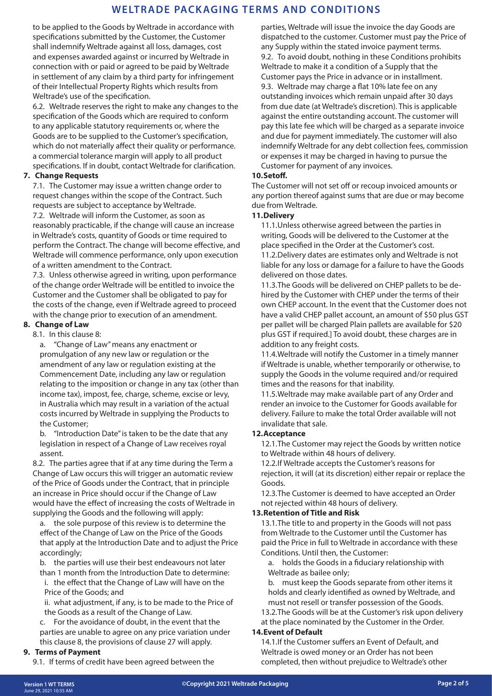to be applied to the Goods by Weltrade in accordance with specifications submitted by the Customer, the Customer shall indemnify Weltrade against all loss, damages, cost and expenses awarded against or incurred by Weltrade in connection with or paid or agreed to be paid by Weltrade in settlement of any claim by a third party for infringement of their Intellectual Property Rights which results from Weltrade's use of the specification.

6.2. Weltrade reserves the right to make any changes to the specification of the Goods which are required to conform to any applicable statutory requirements or, where the Goods are to be supplied to the Customer's specification, which do not materially affect their quality or performance. a commercial tolerance margin will apply to all product specifications. If in doubt, contact Weltrade for clarification.

### **7. Change Requests**

7.1. The Customer may issue a written change order to request changes within the scope of the Contract. Such requests are subject to acceptance by Weltrade.

7.2. Weltrade will inform the Customer, as soon as reasonably practicable, if the change will cause an increase in Weltrade's costs, quantity of Goods or time required to perform the Contract. The change will become effective, and Weltrade will commence performance, only upon execution of a written amendment to the Contract.

7.3. Unless otherwise agreed in writing, upon performance of the change order Weltrade will be entitled to invoice the Customer and the Customer shall be obligated to pay for the costs of the change, even if Weltrade agreed to proceed with the change prior to execution of an amendment.

### **8. Change of Law**

8.1. In this clause 8:

a. "Change of Law" means any enactment or promulgation of any new law or regulation or the amendment of any law or regulation existing at the Commencement Date, including any law or regulation relating to the imposition or change in any tax (other than income tax), impost, fee, charge, scheme, excise or levy, in Australia which may result in a variation of the actual costs incurred by Weltrade in supplying the Products to the Customer;

b. "Introduction Date" is taken to be the date that any legislation in respect of a Change of Law receives royal assent.

8.2. The parties agree that if at any time during the Term a Change of Law occurs this will trigger an automatic review of the Price of Goods under the Contract, that in principle an increase in Price should occur if the Change of Law would have the effect of increasing the costs of Weltrade in supplying the Goods and the following will apply:

a. the sole purpose of this review is to determine the effect of the Change of Law on the Price of the Goods that apply at the Introduction Date and to adjust the Price accordingly;

b. the parties will use their best endeavours not later than 1 month from the Introduction Date to determine:

i. the effect that the Change of Law will have on the Price of the Goods; and

ii. what adjustment, if any, is to be made to the Price of the Goods as a result of the Change of Law.

c. For the avoidance of doubt, in the event that the parties are unable to agree on any price variation under this clause 8, the provisions of clause 27 will apply.

#### **9. Terms of Payment**

9.1. If terms of credit have been agreed between the

parties, Weltrade will issue the invoice the day Goods are dispatched to the customer. Customer must pay the Price of any Supply within the stated invoice payment terms. 9.2. To avoid doubt, nothing in these Conditions prohibits Weltrade to make it a condition of a Supply that the Customer pays the Price in advance or in installment. 9.3. Weltrade may charge a flat 10% late fee on any outstanding invoices which remain unpaid after 30 days from due date (at Weltrade's discretion). This is applicable against the entire outstanding account. The customer will pay this late fee which will be charged as a separate invoice and due for payment immediately. The customer will also indemnify Weltrade for any debt collection fees, commission or expenses it may be charged in having to pursue the Customer for payment of any invoices.

#### **10.Setoff.**

The Customer will not set off or recoup invoiced amounts or any portion thereof against sums that are due or may become due from Weltrade.

#### **11.Delivery**

11.1.Unless otherwise agreed between the parties in writing, Goods will be delivered to the Customer at the place specified in the Order at the Customer's cost. 11.2.Delivery dates are estimates only and Weltrade is not

liable for any loss or damage for a failure to have the Goods delivered on those dates.

11.3.The Goods will be delivered on CHEP pallets to be dehired by the Customer with CHEP under the terms of their own CHEP account. In the event that the Customer does not have a valid CHEP pallet account, an amount of \$50 plus GST per pallet will be charged Plain pallets are available for \$20 plus GST if required.] To avoid doubt, these charges are in addition to any freight costs.

11.4.Weltrade will notify the Customer in a timely manner if Weltrade is unable, whether temporarily or otherwise, to supply the Goods in the volume required and/or required times and the reasons for that inability.

11.5.Weltrade may make available part of any Order and render an invoice to the Customer for Goods available for delivery. Failure to make the total Order available will not invalidate that sale.

#### **12.Acceptance**

12.1.The Customer may reject the Goods by written notice to Weltrade within 48 hours of delivery.

12.2.If Weltrade accepts the Customer's reasons for rejection, it will (at its discretion) either repair or replace the Goods.

12.3.The Customer is deemed to have accepted an Order not rejected within 48 hours of delivery.

#### **13.Retention of Title and Risk**

13.1.The title to and property in the Goods will not pass from Weltrade to the Customer until the Customer has paid the Price in full to Weltrade in accordance with these Conditions. Until then, the Customer:

a. holds the Goods in a fiduciary relationship with Weltrade as bailee only;

b. must keep the Goods separate from other items it holds and clearly identified as owned by Weltrade, and must not resell or transfer possession of the Goods.

13.2.The Goods will be at the Customer's risk upon delivery at the place nominated by the Customer in the Order.

#### **14.Event of Default**

14.1.If the Customer suffers an Event of Default, and Weltrade is owed money or an Order has not been completed, then without prejudice to Weltrade's other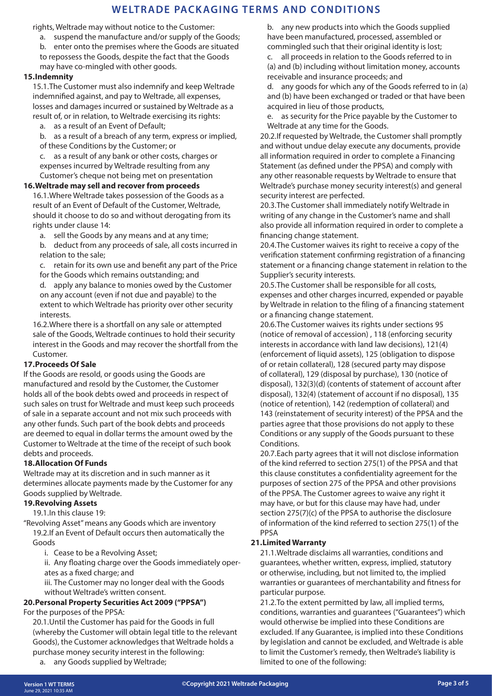rights, Weltrade may without notice to the Customer:

- a. suspend the manufacture and/or supply of the Goods;
- b. enter onto the premises where the Goods are situated to repossess the Goods, despite the fact that the Goods may have co-mingled with other goods.

#### **15.Indemnity**

15.1.The Customer must also indemnify and keep Weltrade indemnified against, and pay to Weltrade, all expenses, losses and damages incurred or sustained by Weltrade as a result of, or in relation, to Weltrade exercising its rights:

a. as a result of an Event of Default;

b. as a result of a breach of any term, express or implied, of these Conditions by the Customer; or

c. as a result of any bank or other costs, charges or expenses incurred by Weltrade resulting from any Customer's cheque not being met on presentation

#### **16.Weltrade may sell and recover from proceeds**

16.1.Where Weltrade takes possession of the Goods as a result of an Event of Default of the Customer, Weltrade, should it choose to do so and without derogating from its rights under clause 14:

a. sell the Goods by any means and at any time;

b. deduct from any proceeds of sale, all costs incurred in relation to the sale;

c. retain for its own use and benefit any part of the Price for the Goods which remains outstanding; and

d. apply any balance to monies owed by the Customer on any account (even if not due and payable) to the extent to which Weltrade has priority over other security interests.

16.2.Where there is a shortfall on any sale or attempted sale of the Goods, Weltrade continues to hold their security interest in the Goods and may recover the shortfall from the Customer.

#### **17.Proceeds Of Sale**

If the Goods are resold, or goods using the Goods are manufactured and resold by the Customer, the Customer holds all of the book debts owed and proceeds in respect of such sales on trust for Weltrade and must keep such proceeds of sale in a separate account and not mix such proceeds with any other funds. Such part of the book debts and proceeds are deemed to equal in dollar terms the amount owed by the Customer to Weltrade at the time of the receipt of such book debts and proceeds.

#### **18.Allocation Of Funds**

Weltrade may at its discretion and in such manner as it determines allocate payments made by the Customer for any Goods supplied by Weltrade.

#### **19.Revolving Assets**

19.1.In this clause 19:

"Revolving Asset" means any Goods which are inventory 19.2.If an Event of Default occurs then automatically the

Goods

i. Cease to be a Revolving Asset;

ii. Any floating charge over the Goods immediately operates as a fixed charge; and

iii. The Customer may no longer deal with the Goods without Weltrade's written consent.

# **20.Personal Property Securities Act 2009 ("PPSA")**

For the purposes of the PPSA:

20.1.Until the Customer has paid for the Goods in full (whereby the Customer will obtain legal title to the relevant Goods), the Customer acknowledges that Weltrade holds a purchase money security interest in the following:

a. any Goods supplied by Weltrade;

b. any new products into which the Goods supplied have been manufactured, processed, assembled or commingled such that their original identity is lost;

c. all proceeds in relation to the Goods referred to in (a) and (b) including without limitation money, accounts receivable and insurance proceeds; and

d. any goods for which any of the Goods referred to in (a) and (b) have been exchanged or traded or that have been acquired in lieu of those products,

e. as security for the Price payable by the Customer to Weltrade at any time for the Goods.

20.2.If requested by Weltrade, the Customer shall promptly and without undue delay execute any documents, provide all information required in order to complete a Financing Statement (as defined under the PPSA) and comply with any other reasonable requests by Weltrade to ensure that Weltrade's purchase money security interest(s) and general security interest are perfected.

20.3.The Customer shall immediately notify Weltrade in writing of any change in the Customer's name and shall also provide all information required in order to complete a financing change statement.

20.4.The Customer waives its right to receive a copy of the verification statement confirming registration of a financing statement or a financing change statement in relation to the Supplier's security interests.

20.5.The Customer shall be responsible for all costs, expenses and other charges incurred, expended or payable by Weltrade in relation to the filing of a financing statement or a financing change statement.

20.6.The Customer waives its rights under sections 95 (notice of removal of accession) , 118 (enforcing security interests in accordance with land law decisions), 121(4) (enforcement of liquid assets), 125 (obligation to dispose of or retain collateral), 128 (secured party may dispose of collateral), 129 (disposal by purchase), 130 (notice of disposal), 132(3)(d) (contents of statement of account after disposal), 132(4) (statement of account if no disposal), 135 (notice of retention), 142 (redemption of collateral) and 143 (reinstatement of security interest) of the PPSA and the parties agree that those provisions do not apply to these Conditions or any supply of the Goods pursuant to these Conditions.

20.7.Each party agrees that it will not disclose information of the kind referred to section 275(1) of the PPSA and that this clause constitutes a confidentiality agreement for the purposes of section 275 of the PPSA and other provisions of the PPSA. The Customer agrees to waive any right it may have, or but for this clause may have had, under section 275(7)(c) of the PPSA to authorise the disclosure of information of the kind referred to section 275(1) of the PPSA

#### **21.Limited Warranty**

21.1.Weltrade disclaims all warranties, conditions and guarantees, whether written, express, implied, statutory or otherwise, including, but not limited to, the implied warranties or guarantees of merchantability and fitness for particular purpose.

21.2.To the extent permitted by law, all implied terms, conditions, warranties and guarantees ("Guarantees") which would otherwise be implied into these Conditions are excluded. If any Guarantee, is implied into these Conditions by legislation and cannot be excluded, and Weltrade is able to limit the Customer's remedy, then Weltrade's liability is limited to one of the following: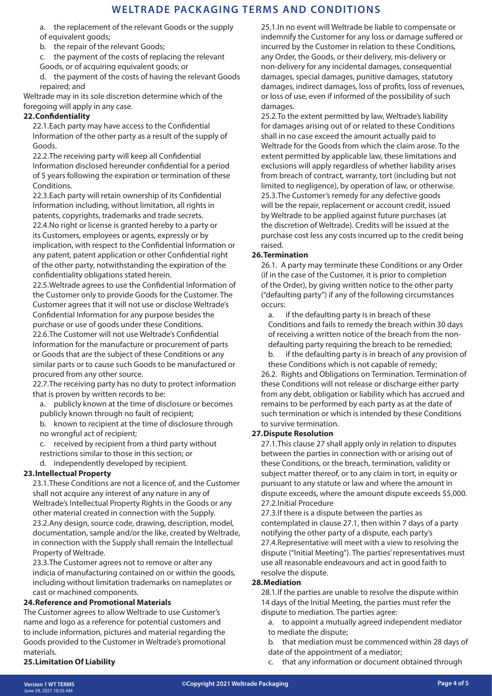a. the replacement of the relevant Goods or the supply of equivalent goods;

- b. the repair of the relevant Goods;
- c. the payment of the costs of replacing the relevant
- Goods, or of acquiring equivalent goods; or
- d. the payment of the costs of having the relevant Goods repaired; and

Weltrade may in its sole discretion determine which of the foregoing will apply in any case.

### **22.Confidentiality**

22.1.Each party may have access to the Confidential Information of the other party as a result of the supply of Goods.

22.2.The receiving party will keep all Confidential Information disclosed hereunder confidential for a period of 5 years following the expiration or termination of these Conditions.

22.3.Each party will retain ownership of its Confidential Information including, without limitation, all rights in patents, copyrights, trademarks and trade secrets. 22.4.No right or license is granted hereby to a party or its Customers, employees or agents, expressly or by implication, with respect to the Confidential Information or any patent, patent application or other Confidential right of the other party, notwithstanding the expiration of the confidentiality obligations stated herein.

22.5.Weltrade agrees to use the Confidential Information of the Customer only to provide Goods for the Customer. The Customer agrees that it will not use or disclose Weltrade's Confidential Information for any purpose besides the purchase or use of goods under these Conditions. 22.6.The Customer will not use Weltrade's Confidential Information for the manufacture or procurement of parts

or Goods that are the subject of these Conditions or any similar parts or to cause such Goods to be manufactured or procured from any other source.

22.7.The receiving party has no duty to protect information that is proven by written records to be:

a. publicly known at the time of disclosure or becomes publicly known through no fault of recipient;

b. known to recipient at the time of disclosure through no wrongful act of recipient;

c. received by recipient from a third party without restrictions similar to those in this section; or d. independently developed by recipient.

## **23.Intellectual Property**

23.1.These Conditions are not a licence of, and the Customer shall not acquire any interest of any nature in any of Weltrade's Intellectual Property Rights in the Goods or any other material created in connection with the Supply. 23.2.Any design, source code, drawing, description, model, documentation, sample and/or the like, created by Weltrade, in connection with the Supply shall remain the Intellectual Property of Weltrade.

23.3.The Customer agrees not to remove or alter any indicia of manufacturing contained on or within the goods, including without limitation trademarks on nameplates or cast or machined components.

#### **24.Reference and Promotional Materials**

The Customer agrees to allow Weltrade to use Customer's name and logo as a reference for potential customers and to include information, pictures and material regarding the Goods provided to the Customer in Weltrade's promotional materials.

## **25.Limitation Of Liability**

25.1.In no event will Weltrade be liable to compensate or indemnify the Customer for any loss or damage suffered or incurred by the Customer in relation to these Conditions, any Order, the Goods, or their delivery, mis-delivery or non-delivery for any incidental damages, consequential damages, special damages, punitive damages, statutory damages, indirect damages, loss of profits, loss of revenues, or loss of use, even if informed of the possibility of such damages.

25.2.To the extent permitted by law, Weltrade's liability for damages arising out of or related to these Conditions shall in no case exceed the amount actually paid to Weltrade for the Goods from which the claim arose. To the extent permitted by applicable law, these limitations and exclusions will apply regardless of whether liability arises from breach of contract, warranty, tort (including but not limited to negligence), by operation of law, or otherwise. 25.3.The Customer's remedy for any defective goods will be the repair, replacement or account credit, issued by Weltrade to be applied against future purchases (at the discretion of Weltrade). Credits will be issued at the purchase cost less any costs incurred up to the credit being raised.

### **26.Termination**

26.1. A party may terminate these Conditions or any Order (if in the case of the Customer, it is prior to completion of the Order), by giving written notice to the other party ("defaulting party") if any of the following circumstances occurs:

a. if the defaulting party is in breach of these Conditions and fails to remedy the breach within 30 days of receiving a written notice of the breach from the nondefaulting party requiring the breach to be remedied;

b. if the defaulting party is in breach of any provision of these Conditions which is not capable of remedy;

26.2. Rights and Obligations on Termination. Termination of these Conditions will not release or discharge either party from any debt, obligation or liability which has accrued and remains to be performed by each party as at the date of such termination or which is intended by these Conditions to survive termination.

## **27.Dispute Resolution**

27.1.This clause 27 shall apply only in relation to disputes between the parties in connection with or arising out of these Conditions, or the breach, termination, validity or subject matter thereof, or to any claim in tort, in equity or pursuant to any statute or law and where the amount in dispute exceeds, where the amount dispute exceeds \$5,000. 27.2.Initial Procedure

27.3.If there is a dispute between the parties as contemplated in clause 27.1, then within 7 days of a party notifying the other party of a dispute, each party's 27.4.Representative will meet with a view to resolving the dispute ("Initial Meeting"). The parties' representatives must use all reasonable endeavours and act in good faith to resolve the dispute.

#### **28.Mediation**

28.1.If the parties are unable to resolve the dispute within 14 days of the Initial Meeting, the parties must refer the dispute to mediation. The parties agree:

- a. to appoint a mutually agreed independent mediator to mediate the dispute;
- b. that mediation must be commenced within 28 days of date of the appointment of a mediator;
- c. that any information or document obtained through